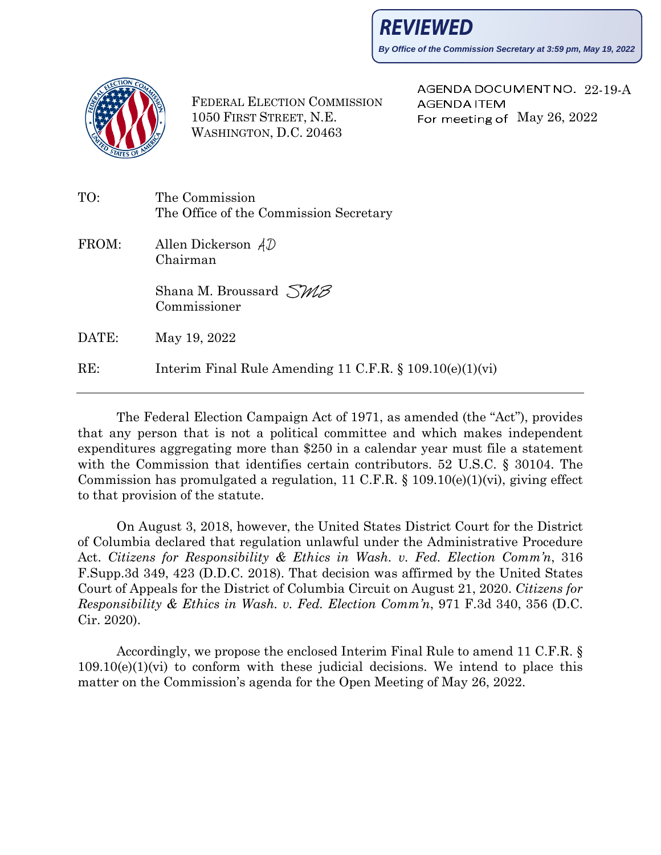**By Office of the Commission Secretary at 3:59 pm, May 19, 2022**



FEDERAL ELECTION COMMISSION 1050 FIRST STREET, N.E. WASHINGTON, D.C. 20463

AGENDA DOCUMENT NO. 22-19-A **AGENDA ITEM** For meeting of  $\text{May } 26, 2022$ 

| TO:   | The Commission<br>The Office of the Commission Secretary    |  |  |  |
|-------|-------------------------------------------------------------|--|--|--|
| FROM: | Allen Dickerson $AD$<br>Chairman                            |  |  |  |
|       | Shana M. Broussard $\Im M\beta$<br>Commissioner             |  |  |  |
| DATE: | May 19, 2022                                                |  |  |  |
| RE:   | Interim Final Rule Amending 11 C.F.R. $\S 109.10(e)(1)(vi)$ |  |  |  |

The Federal Election Campaign Act of 1971, as amended (the "Act"), provides that any person that is not a political committee and which makes independent expenditures aggregating more than \$250 in a calendar year must file a statement with the Commission that identifies certain contributors. 52 U.S.C. § 30104. The Commission has promulgated a regulation, 11 C.F.R. § 109.10(e)(1)(vi), giving effect to that provision of the statute.

On August 3, 2018, however, the United States District Court for the District of Columbia declared that regulation unlawful under the Administrative Procedure Act. *Citizens for Responsibility & Ethics in Wash. v. Fed. Election Comm'n*, 316 F.Supp.3d 349, 423 (D.D.C. 2018). That decision was affirmed by the United States Court of Appeals for the District of Columbia Circuit on August 21, 2020. *Citizens for Responsibility & Ethics in Wash. v. Fed. Election Comm'n*, 971 F.3d 340, 356 (D.C. Cir. 2020).

Accordingly, we propose the enclosed Interim Final Rule to amend 11 C.F.R. §  $109.10(e)(1)(vi)$  to conform with these judicial decisions. We intend to place this matter on the Commission's agenda for the Open Meeting of May 26, 2022.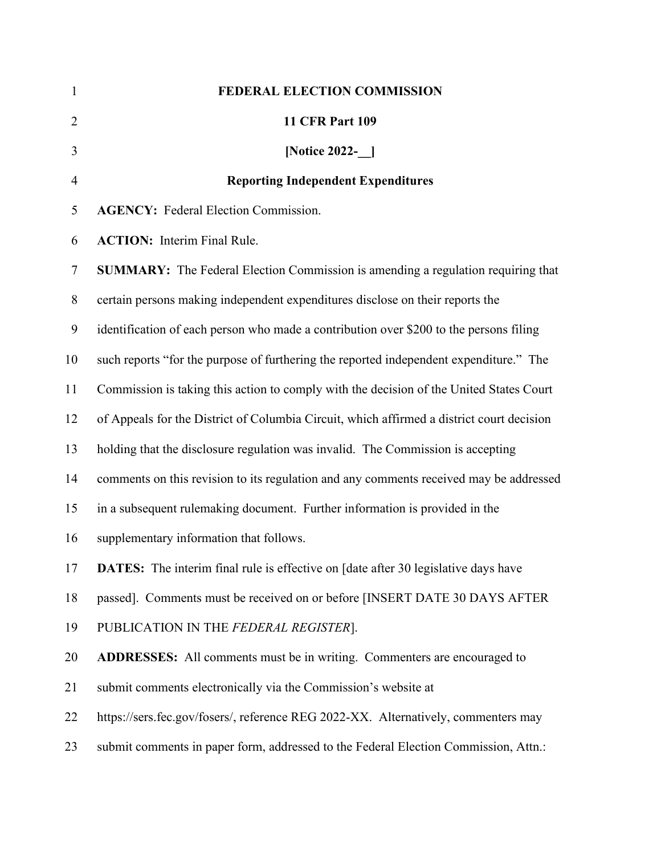| $\mathbf{1}$   | FEDERAL ELECTION COMMISSION                                                               |
|----------------|-------------------------------------------------------------------------------------------|
| $\overline{2}$ | <b>11 CFR Part 109</b>                                                                    |
| 3              | [Notice 2022-__]                                                                          |
| $\overline{4}$ | <b>Reporting Independent Expenditures</b>                                                 |
| 5              | <b>AGENCY:</b> Federal Election Commission.                                               |
| 6              | <b>ACTION:</b> Interim Final Rule.                                                        |
| $\tau$         | <b>SUMMARY:</b> The Federal Election Commission is amending a regulation requiring that   |
| $8\,$          | certain persons making independent expenditures disclose on their reports the             |
| 9              | identification of each person who made a contribution over \$200 to the persons filing    |
| 10             | such reports "for the purpose of furthering the reported independent expenditure." The    |
| 11             | Commission is taking this action to comply with the decision of the United States Court   |
| 12             | of Appeals for the District of Columbia Circuit, which affirmed a district court decision |
| 13             | holding that the disclosure regulation was invalid. The Commission is accepting           |
| 14             | comments on this revision to its regulation and any comments received may be addressed    |
| 15             | in a subsequent rulemaking document. Further information is provided in the               |
| 16             | supplementary information that follows.                                                   |
| 17             | <b>DATES:</b> The interim final rule is effective on [date after 30 legislative days have |
| 18             | passed]. Comments must be received on or before [INSERT DATE 30 DAYS AFTER                |
| 19             | PUBLICATION IN THE FEDERAL REGISTER].                                                     |
| 20             | ADDRESSES: All comments must be in writing. Commenters are encouraged to                  |
| 21             | submit comments electronically via the Commission's website at                            |
| 22             | https://sers.fec.gov/fosers/, reference REG 2022-XX. Alternatively, commenters may        |
| 23             | submit comments in paper form, addressed to the Federal Election Commission, Attn.:       |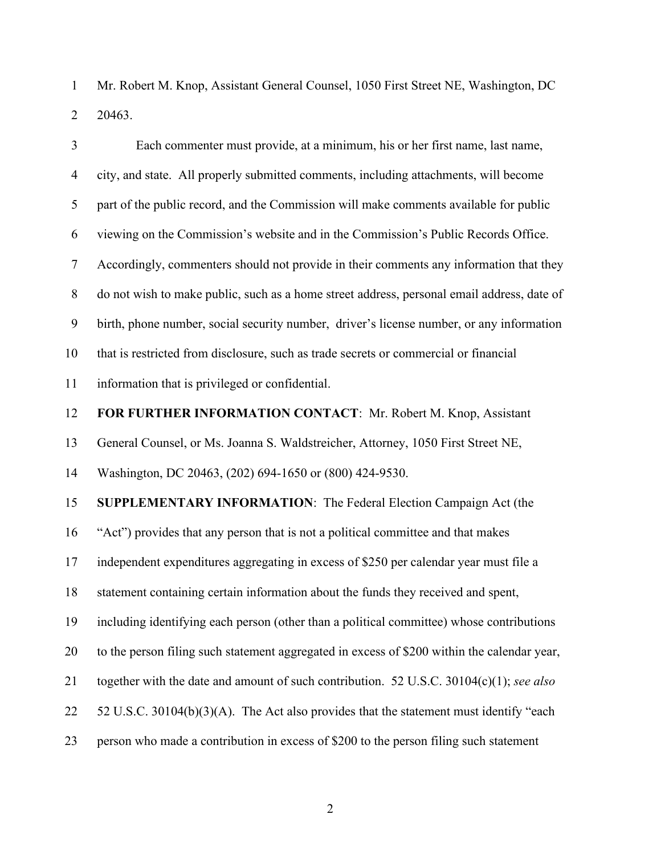Mr. Robert M. Knop, Assistant General Counsel, 1050 First Street NE, Washington, DC 20463.

| $\mathfrak{Z}$ | Each commenter must provide, at a minimum, his or her first name, last name,                |  |  |  |  |  |  |
|----------------|---------------------------------------------------------------------------------------------|--|--|--|--|--|--|
| $\overline{4}$ | city, and state. All properly submitted comments, including attachments, will become        |  |  |  |  |  |  |
| 5              | part of the public record, and the Commission will make comments available for public       |  |  |  |  |  |  |
| 6              | viewing on the Commission's website and in the Commission's Public Records Office.          |  |  |  |  |  |  |
| $\tau$         | Accordingly, commenters should not provide in their comments any information that they      |  |  |  |  |  |  |
| $8\,$          | do not wish to make public, such as a home street address, personal email address, date of  |  |  |  |  |  |  |
| $\mathbf{9}$   | birth, phone number, social security number, driver's license number, or any information    |  |  |  |  |  |  |
| 10             | that is restricted from disclosure, such as trade secrets or commercial or financial        |  |  |  |  |  |  |
| 11             | information that is privileged or confidential.                                             |  |  |  |  |  |  |
| 12             | FOR FURTHER INFORMATION CONTACT: Mr. Robert M. Knop, Assistant                              |  |  |  |  |  |  |
| 13             | General Counsel, or Ms. Joanna S. Waldstreicher, Attorney, 1050 First Street NE,            |  |  |  |  |  |  |
| 14             | Washington, DC 20463, (202) 694-1650 or (800) 424-9530.                                     |  |  |  |  |  |  |
| 15             | SUPPLEMENTARY INFORMATION: The Federal Election Campaign Act (the                           |  |  |  |  |  |  |
| 16             | "Act") provides that any person that is not a political committee and that makes            |  |  |  |  |  |  |
| 17             | independent expenditures aggregating in excess of \$250 per calendar year must file a       |  |  |  |  |  |  |
| 18             | statement containing certain information about the funds they received and spent,           |  |  |  |  |  |  |
| 19             | including identifying each person (other than a political committee) whose contributions    |  |  |  |  |  |  |
| 20             | to the person filing such statement aggregated in excess of \$200 within the calendar year, |  |  |  |  |  |  |
| 21             | together with the date and amount of such contribution. 52 U.S.C. $30104(c)(1)$ ; see also  |  |  |  |  |  |  |
| 22             | 52 U.S.C. 30104(b)(3)(A). The Act also provides that the statement must identify "each      |  |  |  |  |  |  |
| 23             | person who made a contribution in excess of \$200 to the person filing such statement       |  |  |  |  |  |  |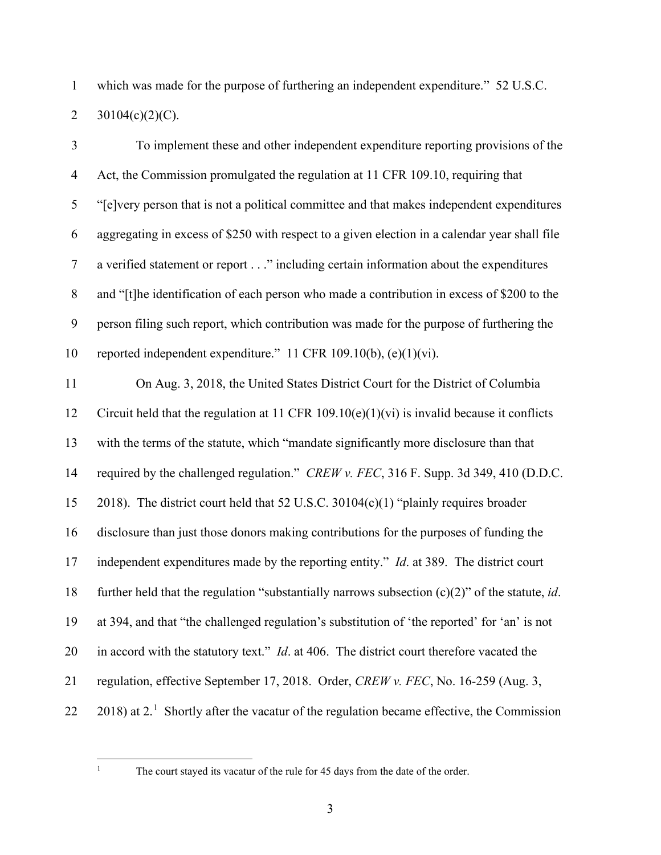which was made for the purpose of furthering an independent expenditure." 52 U.S.C. 2 30104(c)(2)(C).

| $\mathfrak{Z}$ | To implement these and other independent expenditure reporting provisions of the                          |
|----------------|-----------------------------------------------------------------------------------------------------------|
| $\overline{4}$ | Act, the Commission promulgated the regulation at 11 CFR 109.10, requiring that                           |
| 5              | "[e]very person that is not a political committee and that makes independent expenditures                 |
| 6              | aggregating in excess of \$250 with respect to a given election in a calendar year shall file             |
| $\tau$         | a verified statement or report" including certain information about the expenditures                      |
| $8\,$          | and "[t]he identification of each person who made a contribution in excess of \$200 to the                |
| 9              | person filing such report, which contribution was made for the purpose of furthering the                  |
| 10             | reported independent expenditure." 11 CFR 109.10(b), (e)(1)(vi).                                          |
| 11             | On Aug. 3, 2018, the United States District Court for the District of Columbia                            |
| 12             | Circuit held that the regulation at 11 CFR 109.10(e)(1)(vi) is invalid because it conflicts               |
| 13             | with the terms of the statute, which "mandate significantly more disclosure than that                     |
| 14             | required by the challenged regulation." CREW v. FEC, 316 F. Supp. 3d 349, 410 (D.D.C.                     |
| 15             | 2018). The district court held that 52 U.S.C. 30104(c)(1) "plainly requires broader                       |
| 16             | disclosure than just those donors making contributions for the purposes of funding the                    |
| 17             | independent expenditures made by the reporting entity." Id. at 389. The district court                    |
| 18             | further held that the regulation "substantially narrows subsection $(c)(2)$ " of the statute, <i>id</i> . |
| 19             | at 394, and that "the challenged regulation's substitution of 'the reported' for 'an' is not              |
| 20             | in accord with the statutory text." $Id$ . at 406. The district court therefore vacated the               |
| 21             | regulation, effective September 17, 2018. Order, CREW v. FEC, No. 16-259 (Aug. 3,                         |
| 22             | $2018$ ) at 2. <sup>1</sup> Shortly after the vacatur of the regulation became effective, the Commission  |

<span id="page-3-0"></span>

<sup>&</sup>lt;sup>1</sup> The court stayed its vacatur of the rule for 45 days from the date of the order.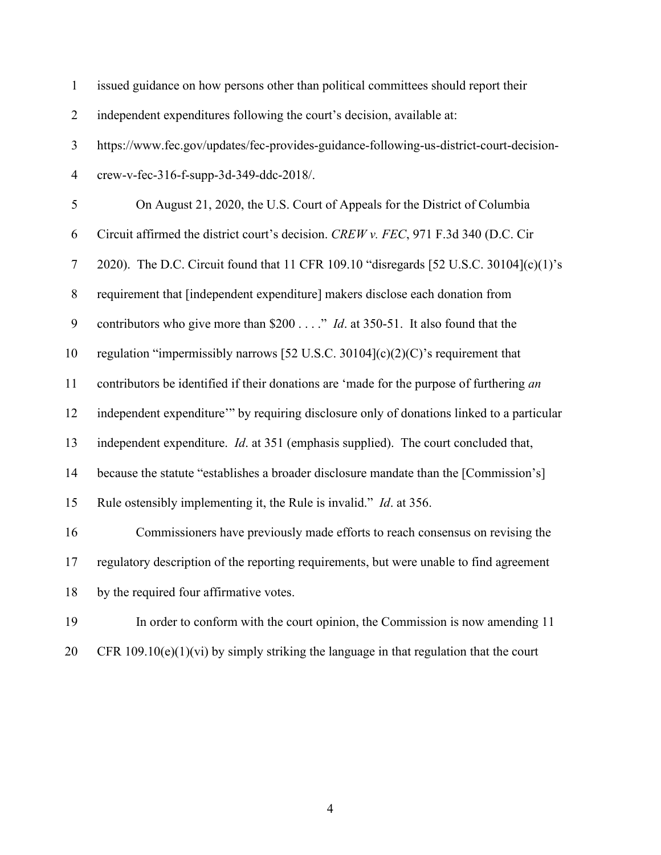| $\mathbf{1}$     | issued guidance on how persons other than political committees should report their        |
|------------------|-------------------------------------------------------------------------------------------|
| $\overline{2}$   | independent expenditures following the court's decision, available at:                    |
| $\mathfrak{Z}$   | https://www.fec.gov/updates/fec-provides-guidance-following-us-district-court-decision-   |
| $\overline{4}$   | crew-v-fec-316-f-supp-3d-349-ddc-2018/.                                                   |
| 5                | On August 21, 2020, the U.S. Court of Appeals for the District of Columbia                |
| 6                | Circuit affirmed the district court's decision. CREW v. FEC, 971 F.3d 340 (D.C. Cir       |
| $\tau$           | 2020). The D.C. Circuit found that 11 CFR 109.10 "disregards [52 U.S.C. 30104](c)(1)'s    |
| $8\,$            | requirement that [independent expenditure] makers disclose each donation from             |
| $\boldsymbol{9}$ | contributors who give more than \$200" <i>Id.</i> at 350-51. It also found that the       |
| 10               | regulation "impermissibly narrows [52 U.S.C. 30104] $(c)(2)(C)$ 's requirement that       |
| 11               | contributors be identified if their donations are 'made for the purpose of furthering an  |
| 12               | independent expenditure" by requiring disclosure only of donations linked to a particular |
| 13               | independent expenditure. Id. at 351 (emphasis supplied). The court concluded that,        |
| 14               | because the statute "establishes a broader disclosure mandate than the [Commission's]     |
| 15               | Rule ostensibly implementing it, the Rule is invalid." <i>Id.</i> at 356.                 |
| 16               | Commissioners have previously made efforts to reach consensus on revising the             |
| 17               | regulatory description of the reporting requirements, but were unable to find agreement   |
| 18               | by the required four affirmative votes.                                                   |
| 19               | In order to conform with the court opinion, the Commission is now amending 11             |
| 20               | CFR $109.10(e)(1)(vi)$ by simply striking the language in that regulation that the court  |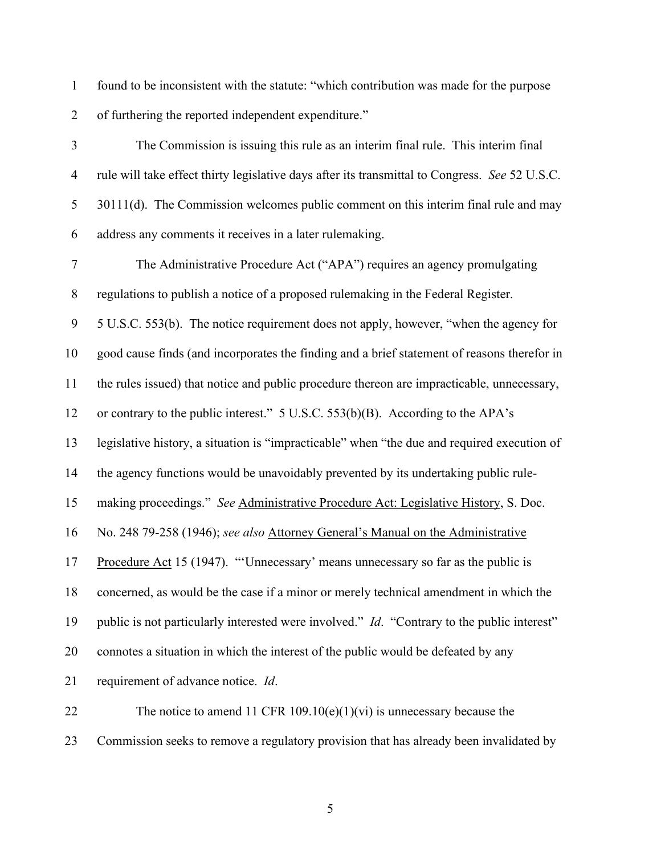found to be inconsistent with the statute: "which contribution was made for the purpose of furthering the reported independent expenditure."

 The Commission is issuing this rule as an interim final rule. This interim final rule will take effect thirty legislative days after its transmittal to Congress. *See* 52 U.S.C. 30111(d). The Commission welcomes public comment on this interim final rule and may address any comments it receives in a later rulemaking.

 The Administrative Procedure Act ("APA") requires an agency promulgating regulations to publish a notice of a proposed rulemaking in the Federal Register.

5 U.S.C. 553(b). The notice requirement does not apply, however, "when the agency for

good cause finds (and incorporates the finding and a brief statement of reasons therefor in

the rules issued) that notice and public procedure thereon are impracticable, unnecessary,

or contrary to the public interest." 5 U.S.C. 553(b)(B). According to the APA's

legislative history, a situation is "impracticable" when "the due and required execution of

the agency functions would be unavoidably prevented by its undertaking public rule-

making proceedings." *See* Administrative Procedure Act: Legislative History, S. Doc.

No. 248 79-258 (1946); *see also* Attorney General's Manual on the Administrative

Procedure Act 15 (1947). "'Unnecessary' means unnecessary so far as the public is

concerned, as would be the case if a minor or merely technical amendment in which the

public is not particularly interested were involved." *Id*. "Contrary to the public interest"

connotes a situation in which the interest of the public would be defeated by any

requirement of advance notice. *Id*.

22 The notice to amend 11 CFR 109.10(e)(1)(vi) is unnecessary because the Commission seeks to remove a regulatory provision that has already been invalidated by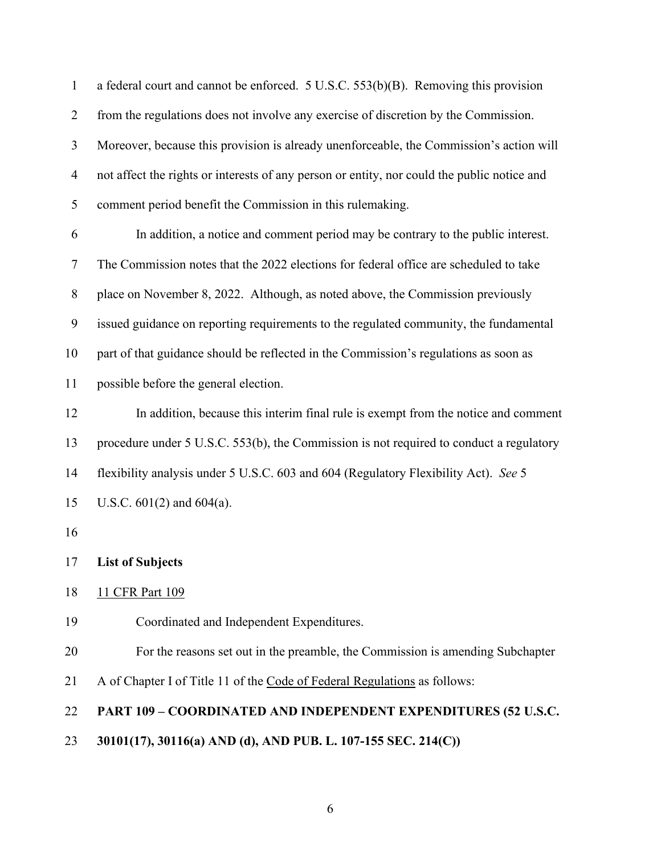| $\mathbf{1}$   | a federal court and cannot be enforced. 5 U.S.C. 553(b)(B). Removing this provision         |  |  |  |  |  |
|----------------|---------------------------------------------------------------------------------------------|--|--|--|--|--|
| $\overline{2}$ | from the regulations does not involve any exercise of discretion by the Commission.         |  |  |  |  |  |
| $\mathfrak{Z}$ | Moreover, because this provision is already unenforceable, the Commission's action will     |  |  |  |  |  |
| $\overline{4}$ | not affect the rights or interests of any person or entity, nor could the public notice and |  |  |  |  |  |
| 5              | comment period benefit the Commission in this rulemaking.                                   |  |  |  |  |  |
| 6              | In addition, a notice and comment period may be contrary to the public interest.            |  |  |  |  |  |
| $\tau$         | The Commission notes that the 2022 elections for federal office are scheduled to take       |  |  |  |  |  |
| $8\,$          | place on November 8, 2022. Although, as noted above, the Commission previously              |  |  |  |  |  |
| 9              | issued guidance on reporting requirements to the regulated community, the fundamental       |  |  |  |  |  |
| 10             | part of that guidance should be reflected in the Commission's regulations as soon as        |  |  |  |  |  |
| 11             | possible before the general election.                                                       |  |  |  |  |  |
| 12             | In addition, because this interim final rule is exempt from the notice and comment          |  |  |  |  |  |
| 13             | procedure under 5 U.S.C. 553(b), the Commission is not required to conduct a regulatory     |  |  |  |  |  |
| 14             | flexibility analysis under 5 U.S.C. 603 and 604 (Regulatory Flexibility Act). See 5         |  |  |  |  |  |
| 15             | U.S.C. $601(2)$ and $604(a)$ .                                                              |  |  |  |  |  |
| 16             |                                                                                             |  |  |  |  |  |
|                | 17 List of Subjects                                                                         |  |  |  |  |  |
| 18             | 11 CFR Part 109                                                                             |  |  |  |  |  |
| 19             | Coordinated and Independent Expenditures.                                                   |  |  |  |  |  |
| 20             | For the reasons set out in the preamble, the Commission is amending Subchapter              |  |  |  |  |  |
| 21             | A of Chapter I of Title 11 of the Code of Federal Regulations as follows:                   |  |  |  |  |  |
| 22             | PART 109 - COORDINATED AND INDEPENDENT EXPENDITURES (52 U.S.C.                              |  |  |  |  |  |
| 23             | 30101(17), 30116(a) AND (d), AND PUB. L. 107-155 SEC. 214(C))                               |  |  |  |  |  |